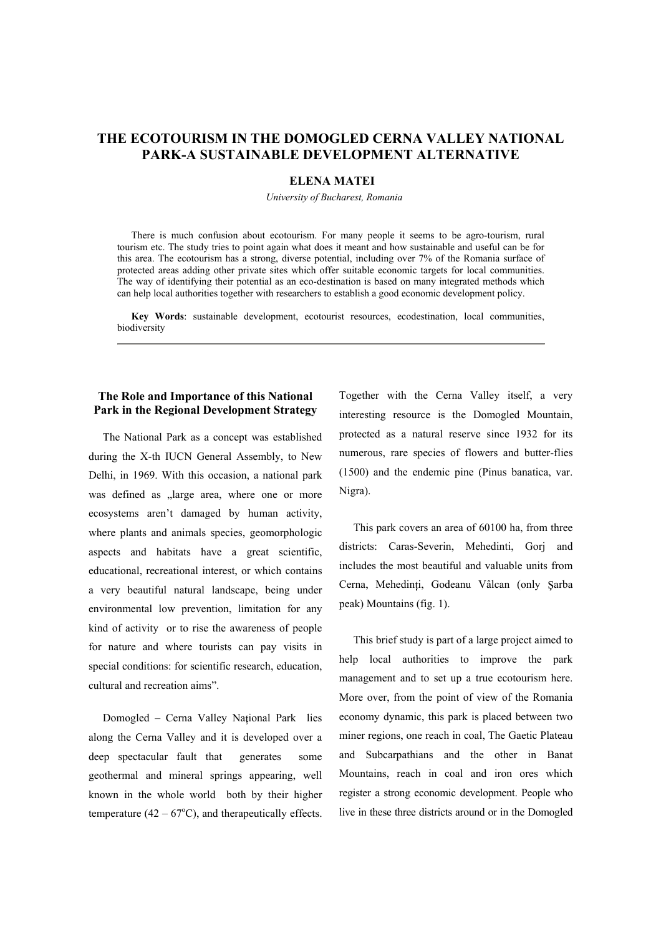# **THE ECOTOURISM IN THE DOMOGLED CERNA VALLEY NATIONAL PARK-A SUSTAINABLE DEVELOPMENT ALTERNATIVE**

### **ELENA MATEI**

*University of Bucharest, Romania* 

There is much confusion about ecotourism. For many people it seems to be agro-tourism, rural tourism etc. The study tries to point again what does it meant and how sustainable and useful can be for this area. The ecotourism has a strong, diverse potential, including over 7% of the Romania surface of protected areas adding other private sites which offer suitable economic targets for local communities. The way of identifying their potential as an eco-destination is based on many integrated methods which can help local authorities together with researchers to establish a good economic development policy.

**Key Words**: sustainable development, ecotourist resources, ecodestination, local communities, biodiversity

## **The Role and Importance of this National Park in the Regional Development Strategy**

The National Park as a concept was established during the X-th IUCN General Assembly, to New Delhi, in 1969. With this occasion, a national park was defined as "large area, where one or more ecosystems aren't damaged by human activity, where plants and animals species, geomorphologic aspects and habitats have a great scientific, educational, recreational interest, or which contains a very beautiful natural landscape, being under environmental low prevention, limitation for any kind of activity or to rise the awareness of people for nature and where tourists can pay visits in special conditions: for scientific research, education, cultural and recreation aims".

Domogled - Cerna Valley National Park lies along the Cerna Valley and it is developed over a deep spectacular fault that generates some geothermal and mineral springs appearing, well known in the whole world both by their higher temperature  $(42 - 67^{\circ}C)$ , and therapeutically effects. Together with the Cerna Valley itself, a very interesting resource is the Domogled Mountain, protected as a natural reserve since 1932 for its numerous, rare species of flowers and butter-flies (1500) and the endemic pine (Pinus banatica, var. Nigra).

This park covers an area of 60100 ha, from three districts: Caras-Severin, Mehedinti, Gorj and includes the most beautiful and valuable units from Cerna, Mehedinți, Godeanu Vâlcan (only Şarba peak) Mountains (fig. 1).

This brief study is part of a large project aimed to help local authorities to improve the park management and to set up a true ecotourism here. More over, from the point of view of the Romania economy dynamic, this park is placed between two miner regions, one reach in coal, The Gaetic Plateau and Subcarpathians and the other in Banat Mountains, reach in coal and iron ores which register a strong economic development. People who live in these three districts around or in the Domogled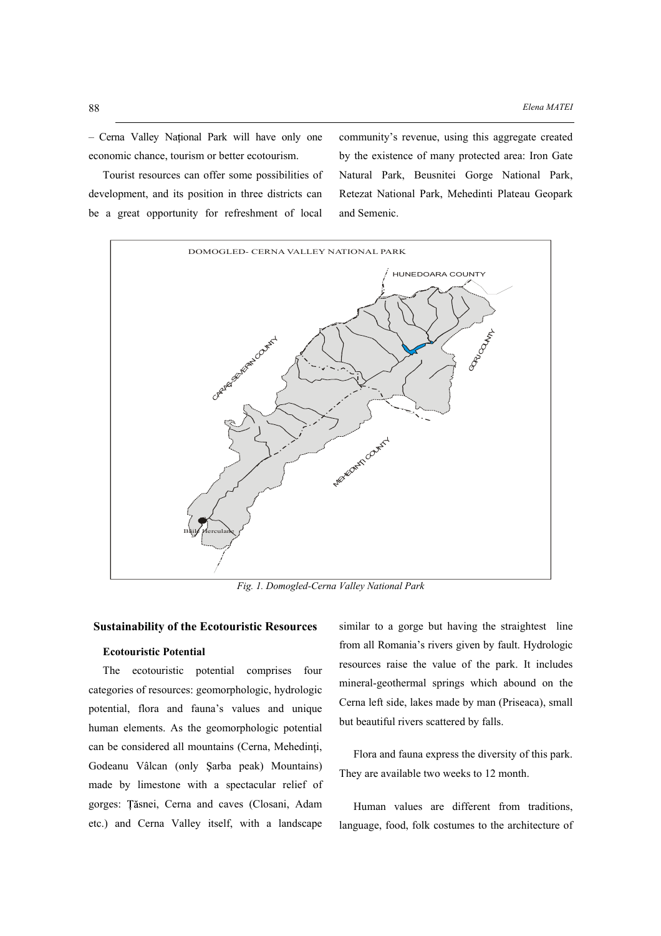- Cerna Valley National Park will have only one economic chance, tourism or better ecotourism.

Tourist resources can offer some possibilities of development, and its position in three districts can be a great opportunity for refreshment of local community's revenue, using this aggregate created by the existence of many protected area: Iron Gate Natural Park, Beusnitei Gorge National Park, Retezat National Park, Mehedinti Plateau Geopark and Semenic.



*Fig. 1. Domogled-Cerna Valley National Park* 

## **Sustainability of the Ecotouristic Resources**

## **Ecotouristic Potential**

The ecotouristic potential comprises four categories of resources: geomorphologic, hydrologic potential, flora and fauna's values and unique human elements. As the geomorphologic potential can be considered all mountains (Cerna, Mehedinți, Godeanu Vâlcan (only Şarba peak) Mountains) made by limestone with a spectacular relief of gorges: Țăsnei, Cerna and caves (Closani, Adam etc.) and Cerna Valley itself, with a landscape similar to a gorge but having the straightest line from all Romania's rivers given by fault. Hydrologic resources raise the value of the park. It includes mineral-geothermal springs which abound on the Cerna left side, lakes made by man (Priseaca), small but beautiful rivers scattered by falls.

Flora and fauna express the diversity of this park. They are available two weeks to 12 month.

Human values are different from traditions, language, food, folk costumes to the architecture of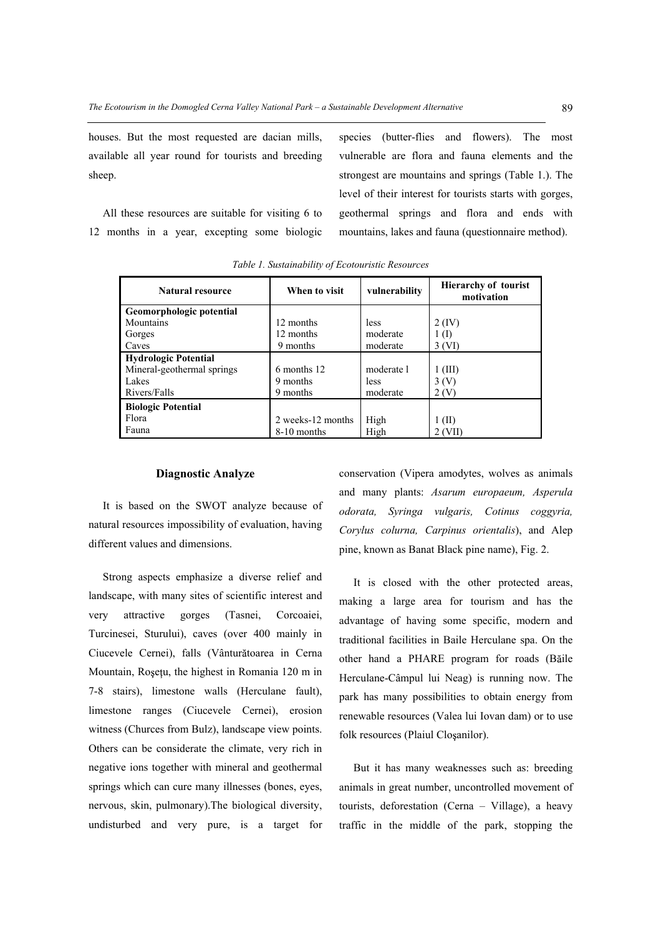houses. But the most requested are dacian mills, available all year round for tourists and breeding sheep.

All these resources are suitable for visiting 6 to 12 months in a year, excepting some biologic species (butter-flies and flowers). The most vulnerable are flora and fauna elements and the strongest are mountains and springs (Table 1.). The level of their interest for tourists starts with gorges, geothermal springs and flora and ends with mountains, lakes and fauna (questionnaire method).

| <b>Natural resource</b>     | When to visit     | vulnerability | <b>Hierarchy of tourist</b><br>motivation |
|-----------------------------|-------------------|---------------|-------------------------------------------|
| Geomorphologic potential    |                   |               |                                           |
| Mountains                   | 12 months         | less          | $2$ (IV)                                  |
| Gorges                      | 12 months         | moderate      | $1 \text{ (I)}$                           |
| Caves                       | 9 months          | moderate      | 3 (VI)                                    |
| <b>Hydrologic Potential</b> |                   |               |                                           |
| Mineral-geothermal springs  | 6 months 12       | moderate 1    | $1$ (III)                                 |
| Lakes                       | 9 months          | less          | 3(V)                                      |
| Rivers/Falls                | 9 months          | moderate      | 2(V)                                      |
| <b>Biologic Potential</b>   |                   |               |                                           |
| Flora                       | 2 weeks-12 months | High          | $1$ (II)                                  |
| Fauna                       | 8-10 months       | High          | $2$ (VII)                                 |

*Table 1. Sustainability of Ecotouristic Resources* 

#### **Diagnostic Analyze**

It is based on the SWOT analyze because of natural resources impossibility of evaluation, having different values and dimensions.

Strong aspects emphasize a diverse relief and landscape, with many sites of scientific interest and very attractive gorges (Tasnei, Corcoaiei, Turcinesei, Sturului), caves (over 400 mainly in Ciucevele Cernei), falls (Vânturătoarea in Cerna Mountain, Roșețu, the highest in Romania 120 m in 7-8 stairs), limestone walls (Herculane fault), limestone ranges (Ciucevele Cernei), erosion witness (Churces from Bulz), landscape view points. Others can be considerate the climate, very rich in negative ions together with mineral and geothermal springs which can cure many illnesses (bones, eyes, nervous, skin, pulmonary).The biological diversity, undisturbed and very pure, is a target for conservation (Vipera amodytes, wolves as animals and many plants: *Asarum europaeum, Asperula odorata, Syringa vulgaris, Cotinus coggyria, Corylus colurna, Carpinus orientalis*), and Alep pine, known as Banat Black pine name), Fig. 2.

It is closed with the other protected areas, making a large area for tourism and has the advantage of having some specific, modern and traditional facilities in Baile Herculane spa. On the other hand a PHARE program for roads (Băile Herculane-Câmpul lui Neag) is running now. The park has many possibilities to obtain energy from renewable resources (Valea lui Iovan dam) or to use folk resources (Plaiul Closanilor).

But it has many weaknesses such as: breeding animals in great number, uncontrolled movement of tourists, deforestation (Cerna - Village), a heavy traffic in the middle of the park, stopping the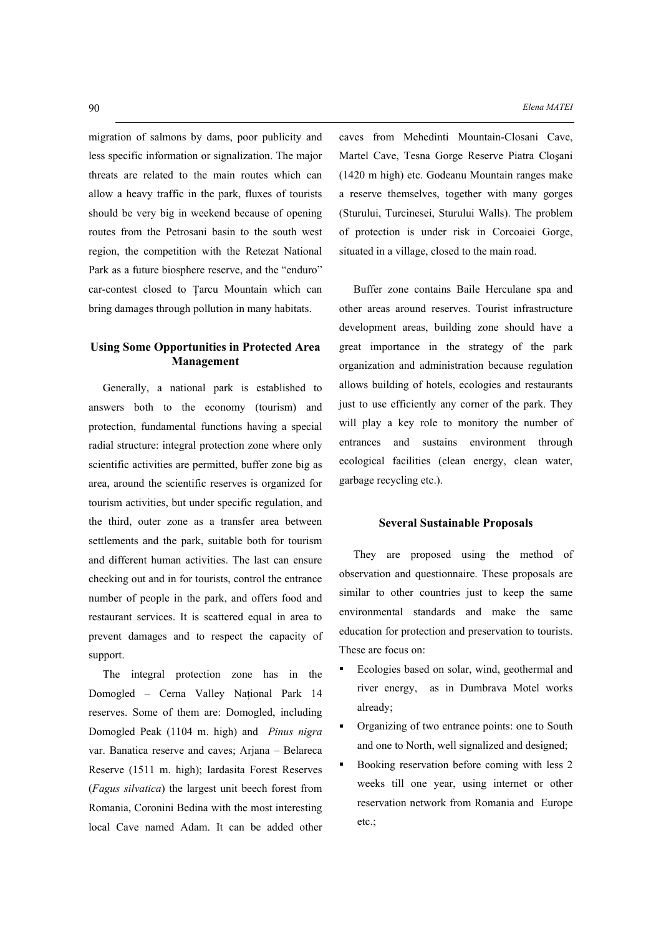migration of salmons by dams, poor publicity and less specific information or signalization. The major threats are related to the main routes which can allow a heavy traffic in the park, fluxes of tourists should be very big in weekend because of opening routes from the Petrosani basin to the south west region, the competition with the Retezat National Park as a future biosphere reserve, and the "enduro" car-contest closed to Tarcu Mountain which can bring damages through pollution in many habitats.

## **Using Some Opportunities in Protected Area Management**

Generally, a national park is established to answers both to the economy (tourism) and protection, fundamental functions having a special radial structure: integral protection zone where only scientific activities are permitted, buffer zone big as area, around the scientific reserves is organized for tourism activities, but under specific regulation, and the third, outer zone as a transfer area between settlements and the park, suitable both for tourism and different human activities. The last can ensure checking out and in for tourists, control the entrance number of people in the park, and offers food and restaurant services. It is scattered equal in area to prevent damages and to respect the capacity of support.

The integral protection zone has in the Domogled - Cerna Valley National Park 14 reserves. Some of them are: Domogled, including Domogled Peak (1104 m. high) and *Pinus nigra* var. Banatica reserve and caves; Arjana - Belareca Reserve (1511 m. high); Iardasita Forest Reserves (*Fagus silvatica*) the largest unit beech forest from Romania, Coronini Bedina with the most interesting local Cave named Adam. It can be added other caves from Mehedinti Mountain-Closani Cave, Martel Cave, Tesna Gorge Reserve Piatra Closani (1420 m high) etc. Godeanu Mountain ranges make a reserve themselves, together with many gorges (Sturului, Turcinesei, Sturului Walls). The problem of protection is under risk in Corcoaiei Gorge, situated in a village, closed to the main road.

Buffer zone contains Baile Herculane spa and other areas around reserves. Tourist infrastructure development areas, building zone should have a great importance in the strategy of the park organization and administration because regulation allows building of hotels, ecologies and restaurants just to use efficiently any corner of the park. They will play a key role to monitory the number of entrances and sustains environment through ecological facilities (clean energy, clean water, garbage recycling etc.).

#### **Several Sustainable Proposals**

They are proposed using the method of observation and questionnaire. These proposals are similar to other countries just to keep the same environmental standards and make the same education for protection and preservation to tourists. These are focus on:

- Ecologies based on solar, wind, geothermal and river energy, as in Dumbrava Motel works already;
- Ė Organizing of two entrance points: one to South and one to North, well signalized and designed;
- Ė Booking reservation before coming with less 2 weeks till one year, using internet or other reservation network from Romania and Europe etc.;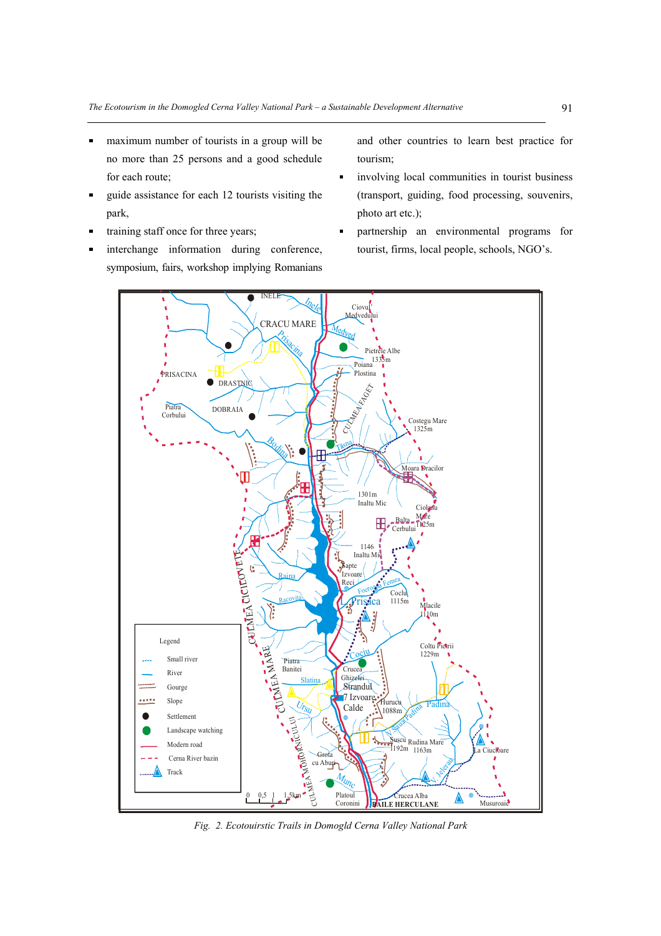- maximum number of tourists in a group will be no more than 25 persons and a good schedule for each route;
- guide assistance for each 12 tourists visiting the park,
- training staff once for three years;
- interchange information during conference, symposium, fairs, workshop implying Romanians

and other countries to learn best practice for tourism;

- involving local communities in tourist business (transport, guiding, food processing, souvenirs, photo art etc.);
- partnership an environmental programs for ř. tourist, firms, local people, schools, NGO's.



*Fig. 2. Ecotouirstic Trails in Domogld Cerna Valley National Park*